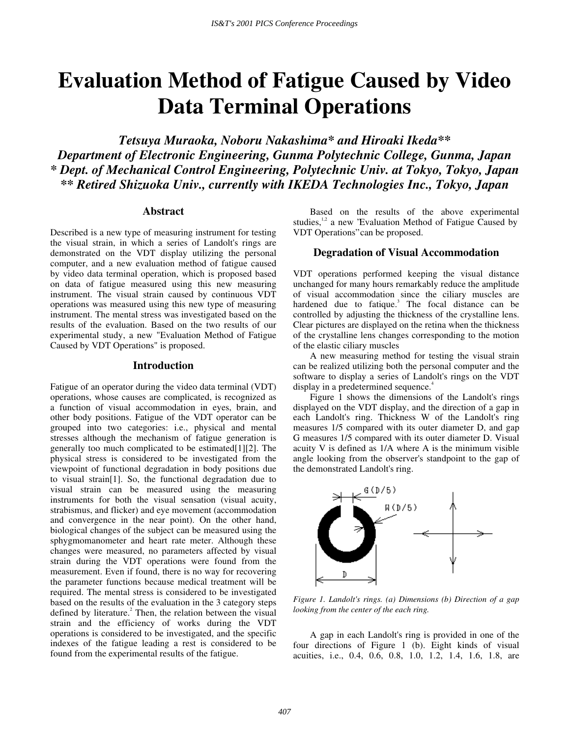# **Evaluation Method of Fatigue Caused by Video Data Terminal Operations**

*Tetsuya Muraoka, Noboru Nakashima\* and Hiroaki Ikeda\*\* Department of Electronic Engineering, Gunma Polytechnic College, Gunma, Japan \* Dept. of Mechanical Control Engineering, Polytechnic Univ. at Tokyo, Tokyo, Japan \*\* Retired Shizuoka Univ., currently with IKEDA Technologies Inc., Tokyo, Japan* 

#### **Abstract**

Described is a new type of measuring instrument for testing the visual strain, in which a series of Landolt's rings are demonstrated on the VDT display utilizing the personal computer, and a new evaluation method of fatigue caused by video data terminal operation, which is proposed based on data of fatigue measured using this new measuring instrument. The visual strain caused by continuous VDT operations was measured using this new type of measuring instrument. The mental stress was investigated based on the results of the evaluation. Based on the two results of our experimental study, a new "Evaluation Method of Fatigue Caused by VDT Operations" is proposed.

### **Introduction**

Fatigue of an operator during the video data terminal (VDT) operations, whose causes are complicated, is recognized as a function of visual accommodation in eyes, brain, and other body positions. Fatigue of the VDT operator can be grouped into two categories: i.e., physical and mental stresses although the mechanism of fatigue generation is generally too much complicated to be estimated[1][2]. The physical stress is considered to be investigated from the viewpoint of functional degradation in body positions due to visual strain[1]. So, the functional degradation due to visual strain can be measured using the measuring instruments for both the visual sensation (visual acuity, strabismus, and flicker) and eye movement (accommodation and convergence in the near point). On the other hand, biological changes of the subject can be measured using the sphygmomanometer and heart rate meter. Although these changes were measured, no parameters affected by visual strain during the VDT operations were found from the measurement. Even if found, there is no way for recovering the parameter functions because medical treatment will be required. The mental stress is considered to be investigated based on the results of the evaluation in the 3 category steps defined by literature.<sup>2</sup> Then, the relation between the visual strain and the efficiency of works during the VDT operations is considered to be investigated, and the specific indexes of the fatigue leading a rest is considered to be found from the experimental results of the fatigue.

Based on the results of the above experimental studies, $12$  a new 'Evaluation Method of Fatigue Caused by VDT Operations" can be proposed.

## **Degradation of Visual Accommodation**

VDT operations performed keeping the visual distance unchanged for many hours remarkably reduce the amplitude of visual accommodation since the ciliary muscles are hardened due to fatique.<sup>3</sup> The focal distance can be controlled by adjusting the thickness of the crystalline lens. Clear pictures are displayed on the retina when the thickness of the crystalline lens changes corresponding to the motion of the elastic ciliary muscles

A new measuring method for testing the visual strain can be realized utilizing both the personal computer and the software to display a series of Landolt's rings on the VDT display in a predetermined sequence.<sup>4</sup>

Figure 1 shows the dimensions of the Landolt's rings displayed on the VDT display, and the direction of a gap in each Landolt's ring. Thickness W of the Landolt's ring measures 1/5 compared with its outer diameter D, and gap G measures 1/5 compared with its outer diameter D. Visual acuity V is defined as 1/A where A is the minimum visible angle looking from the observer's standpoint to the gap of the demonstrated Landolt's ring.



*Figure 1. Landolt's rings. (a) Dimensions (b) Direction of a gap looking from the center of the each ring.* 

A gap in each Landolt's ring is provided in one of the four directions of Figure 1 (b). Eight kinds of visual acuities, i.e., 0.4, 0.6, 0.8, 1.0, 1.2, 1.4, 1.6, 1.8, are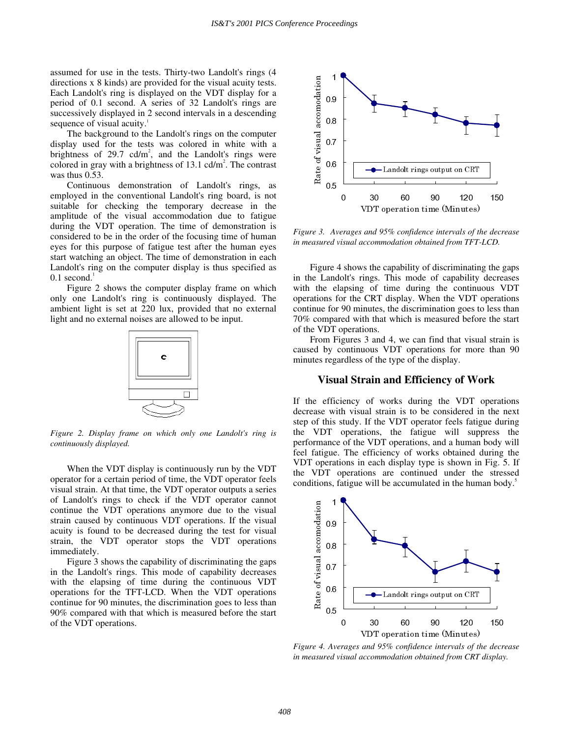assumed for use in the tests. Thirty-two Landolt's rings (4 directions x 8 kinds) are provided for the visual acuity tests. Each Landolt's ring is displayed on the VDT display for a period of 0.1 second. A series of 32 Landolt's rings are successively displayed in 2 second intervals in a descending sequence of visual acuity.<sup>1</sup>

The background to the Landolt's rings on the computer display used for the tests was colored in white with a brightness of  $29.7$  cd/m<sup>2</sup>, and the Landolt's rings were colored in gray with a brightness of  $13.1$  cd/m<sup>2</sup>. The contrast was thus 0.53.

Continuous demonstration of Landolt's rings, as employed in the conventional Landolt's ring board, is not suitable for checking the temporary decrease in the amplitude of the visual accommodation due to fatigue during the VDT operation. The time of demonstration is considered to be in the order of the focusing time of human eyes for this purpose of fatigue test after the human eyes start watching an object. The time of demonstration in each Landolt's ring on the computer display is thus specified as  $0.1$  second.<sup>1</sup>

Figure 2 shows the computer display frame on which only one Landolt's ring is continuously displayed. The ambient light is set at 220 lux, provided that no external light and no external noises are allowed to be input.



*Figure 2. Display frame on which only one Landolt's ring is continuously displayed.* 

When the VDT display is continuously run by the VDT operator for a certain period of time, the VDT operator feels visual strain. At that time, the VDT operator outputs a series of Landolt's rings to check if the VDT operator cannot continue the VDT operations anymore due to the visual strain caused by continuous VDT operations. If the visual acuity is found to be decreased during the test for visual strain, the VDT operator stops the VDT operations immediately.

Figure 3 shows the capability of discriminating the gaps in the Landolt's rings. This mode of capability decreases with the elapsing of time during the continuous VDT operations for the TFT-LCD. When the VDT operations continue for 90 minutes, the discrimination goes to less than 90% compared with that which is measured before the start of the VDT operations.



*Figure 3. Averages and 95% confidence intervals of the decrease in measured visual accommodation obtained from TFT-LCD.* 

Figure 4 shows the capability of discriminating the gaps in the Landolt's rings. This mode of capability decreases with the elapsing of time during the continuous VDT operations for the CRT display. When the VDT operations continue for 90 minutes, the discrimination goes to less than 70% compared with that which is measured before the start of the VDT operations.

From Figures 3 and 4, we can find that visual strain is caused by continuous VDT operations for more than 90 minutes regardless of the type of the display.

## **Visual Strain and Efficiency of Work**

If the efficiency of works during the VDT operations decrease with visual strain is to be considered in the next step of this study. If the VDT operator feels fatigue during the VDT operations, the fatigue will suppress the performance of the VDT operations, and a human body will feel fatigue. The efficiency of works obtained during the VDT operations in each display type is shown in Fig. 5. If the VDT operations are continued under the stressed conditions, fatigue will be accumulated in the human body.<sup>5</sup>



*Figure 4. Averages and 95% confidence intervals of the decrease in measured visual accommodation obtained from CRT display.*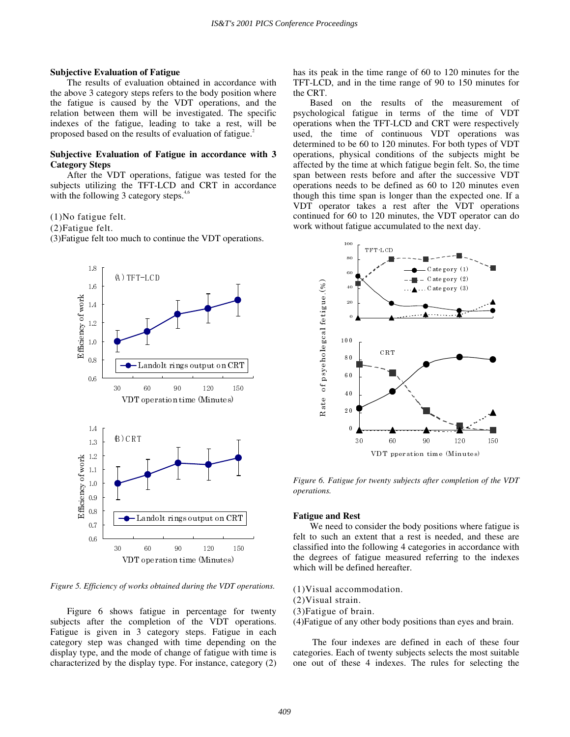#### **Subjective Evaluation of Fatigue**

The results of evaluation obtained in accordance with the above 3 category steps refers to the body position where the fatigue is caused by the VDT operations, and the relation between them will be investigated. The specific indexes of the fatigue, leading to take a rest, will be proposed based on the results of evaluation of fatigue.<sup>2</sup>

#### **Subjective Evaluation of Fatigue in accordance with 3 Category Steps**

After the VDT operations, fatigue was tested for the subjects utilizing the TFT-LCD and CRT in accordance with the following 3 category steps. $4,6$ 

(1)No fatigue felt.

(2)Fatigue felt.

(3)Fatigue felt too much to continue the VDT operations.



*Figure 5. Efficiency of works obtained during the VDT operations.* 

Figure 6 shows fatigue in percentage for twenty subjects after the completion of the VDT operations. Fatigue is given in 3 category steps. Fatigue in each category step was changed with time depending on the display type, and the mode of change of fatigue with time is characterized by the display type. For instance, category (2) has its peak in the time range of 60 to 120 minutes for the TFT-LCD, and in the time range of 90 to 150 minutes for the CRT.

Based on the results of the measurement of psychological fatigue in terms of the time of VDT operations when the TFT-LCD and CRT were respectively used, the time of continuous VDT operations was determined to be 60 to 120 minutes. For both types of VDT operations, physical conditions of the subjects might be affected by the time at which fatigue begin felt. So, the time span between rests before and after the successive VDT operations needs to be defined as 60 to 120 minutes even though this time span is longer than the expected one. If a VDT operator takes a rest after the VDT operations continued for 60 to 120 minutes, the VDT operator can do work without fatigue accumulated to the next day.



*Figure 6. Fatigue for twenty subjects after completion of the VDT operations.*

#### **Fatigue and Rest**

We need to consider the body positions where fatigue is felt to such an extent that a rest is needed, and these are classified into the following 4 categories in accordance with the degrees of fatigue measured referring to the indexes which will be defined hereafter.

(1)Visual accommodation.

(2)Visual strain.

(3)Fatigue of brain.

(4)Fatigue of any other body positions than eyes and brain.

 The four indexes are defined in each of these four categories. Each of twenty subjects selects the most suitable one out of these 4 indexes. The rules for selecting the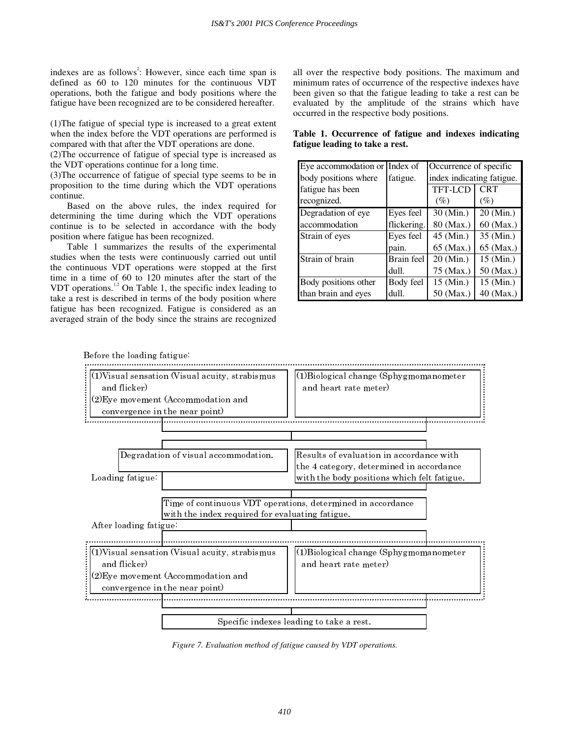indexes are as follows<sup>2</sup>: However, since each time span is defined as 60 to 120 minutes for the continuous VDT operations, both the fatigue and body positions where the fatigue have been recognized are to be considered hereafter.

(1)The fatigue of special type is increased to a great extent when the index before the VDT operations are performed is compared with that after the VDT operations are done.

(2)The occurrence of fatigue of special type is increased as the VDT operations continue for a long time.

(3)The occurrence of fatigue of special type seems to be in proposition to the time during which the VDT operations continue.

Based on the above rules, the index required for determining the time during which the VDT operations continue is to be selected in accordance with the body position where fatigue has been recognized.

Table 1 summarizes the results of the experimental studies when the tests were continuously carried out until the continuous VDT operations were stopped at the first time in a time of 60 to 120 minutes after the start of the VDT operations.<sup>1,2</sup> On Table 1, the specific index leading to take a rest is described in terms of the body position where fatigue has been recognized. Fatigue is considered as an averaged strain of the body since the strains are recognized

all over the respective body positions. The maximum and minimum rates of occurrence of the respective indexes have been given so that the fatigue leading to take a rest can be evaluated by the amplitude of the strains which have occurred in the respective body positions.

**Table 1. Occurrence of fatigue and indexes indicating fatigue leading to take a rest.** 

| Eye accommodation or Index of |             | Occurrence of specific    |                                     |
|-------------------------------|-------------|---------------------------|-------------------------------------|
| body positions where          | fatigue.    | index indicating fatigue. |                                     |
| fatigue has been              |             | TFT-LCD                   | <b>CRT</b>                          |
| recognized.                   |             | (%)                       | $(\%)$                              |
| Degradation of eye            | Eyes feel   | $30$ (Min.)               | $20 \left( \overline{Min.} \right)$ |
| accommodation                 | flickering. | 80 (Max.)                 | 60 (Max.)                           |
| Strain of eyes                | Eyes feel   | 45 (Min.)                 | 35 (Min.)                           |
|                               | pain.       | 65 (Max.)                 | 65 (Max.)                           |
| Strain of brain               | Brain feel  | 20 (Min.)                 | $15 \ (Min.)$                       |
|                               | dull.       | 75 (Max.)                 | 50 (Max.)                           |
| Body positions other          | Body feel   | 15 (Min.)                 | $15 \text{ (Min.)}$                 |
| than brain and eyes           | dull.       | 50 (Max.)                 | 40 (Max.)                           |



*Figure 7. Evaluation method of fatigue caused by VDT operations.*